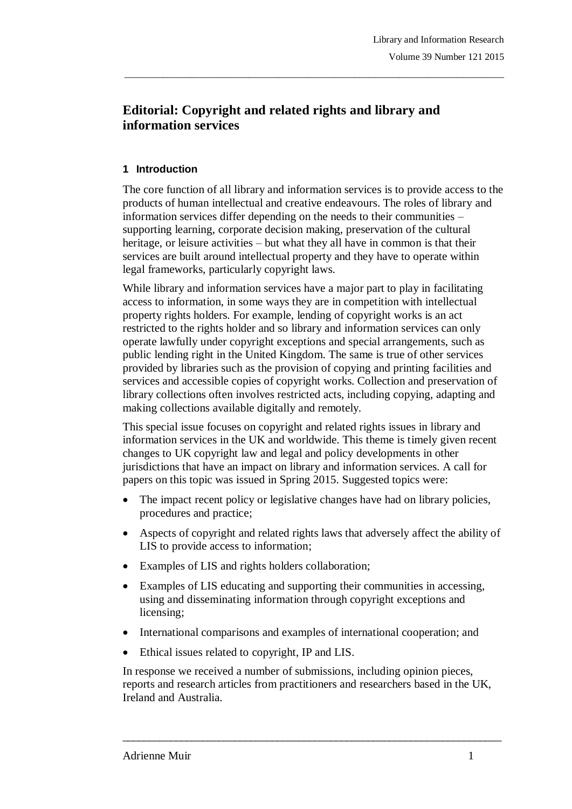# **Editorial: Copyright and related rights and library and information services**

## **1 Introduction**

The core function of all library and information services is to provide access to the products of human intellectual and creative endeavours. The roles of library and information services differ depending on the needs to their communities – supporting learning, corporate decision making, preservation of the cultural heritage, or leisure activities – but what they all have in common is that their services are built around intellectual property and they have to operate within legal frameworks, particularly copyright laws.

\_\_\_\_\_\_\_\_\_\_\_\_\_\_\_\_\_\_\_\_\_\_\_\_\_\_\_\_\_\_\_\_\_\_\_\_\_\_\_\_\_\_\_\_\_\_\_\_\_\_\_\_\_\_\_\_\_\_\_\_\_\_\_\_\_\_\_\_\_\_\_\_\_\_\_\_\_\_\_

While library and information services have a major part to play in facilitating access to information, in some ways they are in competition with intellectual property rights holders. For example, lending of copyright works is an act restricted to the rights holder and so library and information services can only operate lawfully under copyright exceptions and special arrangements, such as public lending right in the United Kingdom. The same is true of other services provided by libraries such as the provision of copying and printing facilities and services and accessible copies of copyright works. Collection and preservation of library collections often involves restricted acts, including copying, adapting and making collections available digitally and remotely.

This special issue focuses on copyright and related rights issues in library and information services in the UK and worldwide. This theme is timely given recent changes to UK copyright law and legal and policy developments in other jurisdictions that have an impact on library and information services. A call for papers on this topic was issued in Spring 2015. Suggested topics were:

- The impact recent policy or legislative changes have had on library policies, procedures and practice;
- Aspects of copyright and related rights laws that adversely affect the ability of LIS to provide access to information;
- Examples of LIS and rights holders collaboration;
- Examples of LIS educating and supporting their communities in accessing, using and disseminating information through copyright exceptions and licensing;
- International comparisons and examples of international cooperation; and
- Ethical issues related to copyright, IP and LIS.

In response we received a number of submissions, including opinion pieces, reports and research articles from practitioners and researchers based in the UK, Ireland and Australia.

 $\_$  ,  $\_$  ,  $\_$  ,  $\_$  ,  $\_$  ,  $\_$  ,  $\_$  ,  $\_$  ,  $\_$  ,  $\_$  ,  $\_$  ,  $\_$  ,  $\_$  ,  $\_$  ,  $\_$  ,  $\_$  ,  $\_$  ,  $\_$  ,  $\_$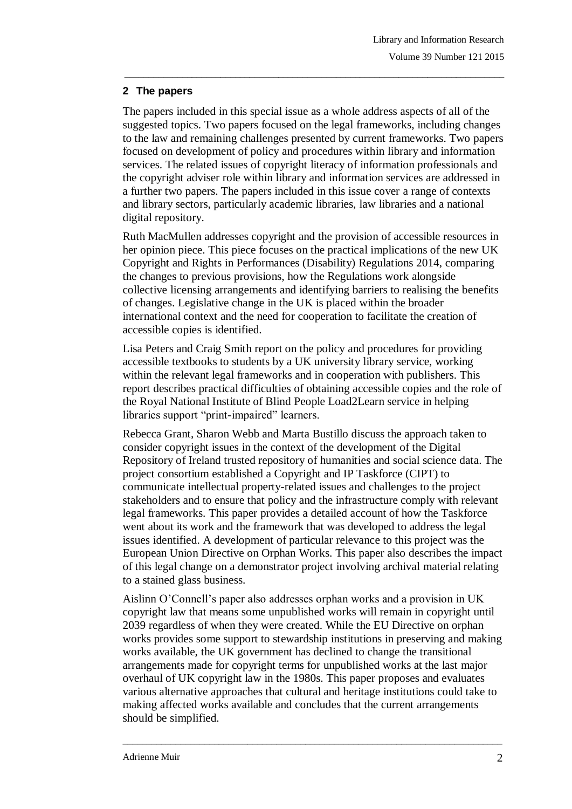## **2 The papers**

The papers included in this special issue as a whole address aspects of all of the suggested topics. Two papers focused on the legal frameworks, including changes to the law and remaining challenges presented by current frameworks. Two papers focused on development of policy and procedures within library and information services. The related issues of copyright literacy of information professionals and the copyright adviser role within library and information services are addressed in a further two papers. The papers included in this issue cover a range of contexts and library sectors, particularly academic libraries, law libraries and a national digital repository.

\_\_\_\_\_\_\_\_\_\_\_\_\_\_\_\_\_\_\_\_\_\_\_\_\_\_\_\_\_\_\_\_\_\_\_\_\_\_\_\_\_\_\_\_\_\_\_\_\_\_\_\_\_\_\_\_\_\_\_\_\_\_\_\_\_\_\_\_\_\_\_\_\_\_\_\_\_\_\_

Ruth MacMullen addresses copyright and the provision of accessible resources in her opinion piece. This piece focuses on the practical implications of the new UK Copyright and Rights in Performances (Disability) Regulations 2014, comparing the changes to previous provisions, how the Regulations work alongside collective licensing arrangements and identifying barriers to realising the benefits of changes. Legislative change in the UK is placed within the broader international context and the need for cooperation to facilitate the creation of accessible copies is identified.

Lisa Peters and Craig Smith report on the policy and procedures for providing accessible textbooks to students by a UK university library service, working within the relevant legal frameworks and in cooperation with publishers. This report describes practical difficulties of obtaining accessible copies and the role of the Royal National Institute of Blind People Load2Learn service in helping libraries support "print-impaired" learners.

Rebecca Grant, Sharon Webb and Marta Bustillo discuss the approach taken to consider copyright issues in the context of the development of the Digital Repository of Ireland trusted repository of humanities and social science data. The project consortium established a Copyright and IP Taskforce (CIPT) to communicate intellectual property-related issues and challenges to the project stakeholders and to ensure that policy and the infrastructure comply with relevant legal frameworks. This paper provides a detailed account of how the Taskforce went about its work and the framework that was developed to address the legal issues identified. A development of particular relevance to this project was the European Union Directive on Orphan Works. This paper also describes the impact of this legal change on a demonstrator project involving archival material relating to a stained glass business.

Aislinn O'Connell's paper also addresses orphan works and a provision in UK copyright law that means some unpublished works will remain in copyright until 2039 regardless of when they were created. While the EU Directive on orphan works provides some support to stewardship institutions in preserving and making works available, the UK government has declined to change the transitional arrangements made for copyright terms for unpublished works at the last major overhaul of UK copyright law in the 1980s. This paper proposes and evaluates various alternative approaches that cultural and heritage institutions could take to making affected works available and concludes that the current arrangements should be simplified.

\_\_\_\_\_\_\_\_\_\_\_\_\_\_\_\_\_\_\_\_\_\_\_\_\_\_\_\_\_\_\_\_\_\_\_\_\_\_\_\_\_\_\_\_\_\_\_\_\_\_\_\_\_\_\_\_\_\_\_\_\_\_\_\_\_\_\_\_\_\_\_\_\_\_\_\_\_\_\_